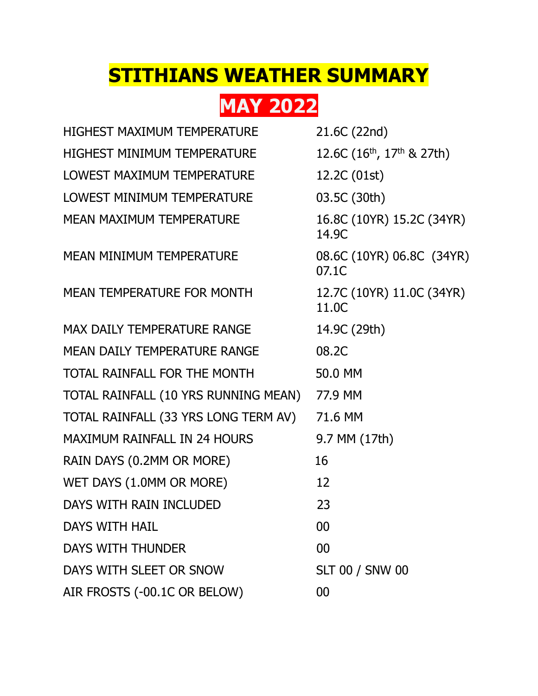## **STITHIANS WEATHER SUMMARY**

**MAY 2022**

| <b>HIGHEST MAXIMUM TEMPERATURE</b>   | 21.6C (22nd)                        |
|--------------------------------------|-------------------------------------|
| <b>HIGHEST MINIMUM TEMPERATURE</b>   | 12.6C $(16^{th}, 17^{th}, 8, 27th)$ |
| LOWEST MAXIMUM TEMPERATURE           | 12.2C (01st)                        |
| LOWEST MINIMUM TEMPERATURE           | 03.5C (30th)                        |
| <b>MEAN MAXIMUM TEMPERATURE</b>      | 16.8C (10YR) 15.2C (34YR)<br>14.9C  |
| <b>MEAN MINIMUM TEMPERATURE</b>      | 08.6C (10YR) 06.8C (34YR)<br>07.1C  |
| <b>MEAN TEMPERATURE FOR MONTH</b>    | 12.7C (10YR) 11.0C (34YR)<br>11.0C  |
| <b>MAX DAILY TEMPERATURE RANGE</b>   | 14.9C (29th)                        |
| MEAN DAILY TEMPERATURE RANGE         | 08.2C                               |
| TOTAL RAINFALL FOR THE MONTH         | 50.0 MM                             |
| TOTAL RAINFALL (10 YRS RUNNING MEAN) | 77.9 MM                             |
| TOTAL RAINFALL (33 YRS LONG TERM AV) | 71.6 MM                             |
| <b>MAXIMUM RAINFALL IN 24 HOURS</b>  | 9.7 MM (17th)                       |
| RAIN DAYS (0.2MM OR MORE)            | 16                                  |
| WET DAYS (1.0MM OR MORE)             | 12                                  |
| DAYS WITH RAIN INCLUDED              | 23                                  |
| <b>DAYS WITH HAIL</b>                | 00                                  |
| <b>DAYS WITH THUNDER</b>             | 00                                  |
| DAYS WITH SLEET OR SNOW              | <b>SLT 00 / SNW 00</b>              |
| AIR FROSTS (-00.1C OR BELOW)         | 00                                  |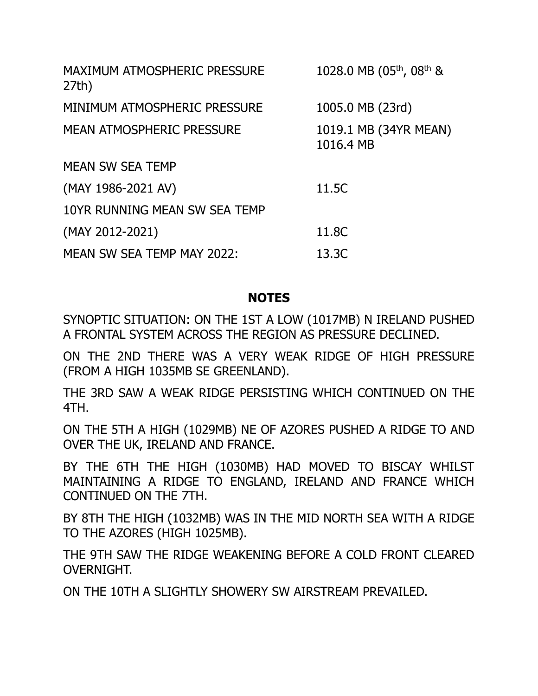| MAXIMUM ATMOSPHERIC PRESSURE<br>27th) | 1028.0 MB (05 <sup>th</sup> , 08 <sup>th</sup> & |
|---------------------------------------|--------------------------------------------------|
| MINIMUM ATMOSPHERIC PRESSURE          | 1005.0 MB (23rd)                                 |
| MEAN ATMOSPHERIC PRESSURE             | 1019.1 MB (34YR MEAN)<br>1016.4 MB               |
| <b>MEAN SW SEA TEMP</b>               |                                                  |
| $(MAY 1986-2021 AV)$                  | 11.5C                                            |
| 10YR RUNNING MEAN SW SEA TEMP         |                                                  |
| (MAY 2012-2021)                       | 11.8C                                            |
| MEAN SW SEA TEMP MAY 2022:            | 13.3C                                            |

## **NOTES**

SYNOPTIC SITUATION: ON THE 1ST A LOW (1017MB) N IRELAND PUSHED A FRONTAL SYSTEM ACROSS THE REGION AS PRESSURE DECLINED.

ON THE 2ND THERE WAS A VERY WEAK RIDGE OF HIGH PRESSURE (FROM A HIGH 1035MB SE GREENLAND).

THE 3RD SAW A WEAK RIDGE PERSISTING WHICH CONTINUED ON THE 4TH.

ON THE 5TH A HIGH (1029MB) NE OF AZORES PUSHED A RIDGE TO AND OVER THE UK, IRELAND AND FRANCE.

BY THE 6TH THE HIGH (1030MB) HAD MOVED TO BISCAY WHILST MAINTAINING A RIDGE TO ENGLAND, IRELAND AND FRANCE WHICH CONTINUED ON THE 7TH.

BY 8TH THE HIGH (1032MB) WAS IN THE MID NORTH SEA WITH A RIDGE TO THE AZORES (HIGH 1025MB).

THE 9TH SAW THE RIDGE WEAKENING BEFORE A COLD FRONT CLEARED OVERNIGHT.

ON THE 10TH A SLIGHTLY SHOWERY SW AIRSTREAM PREVAILED.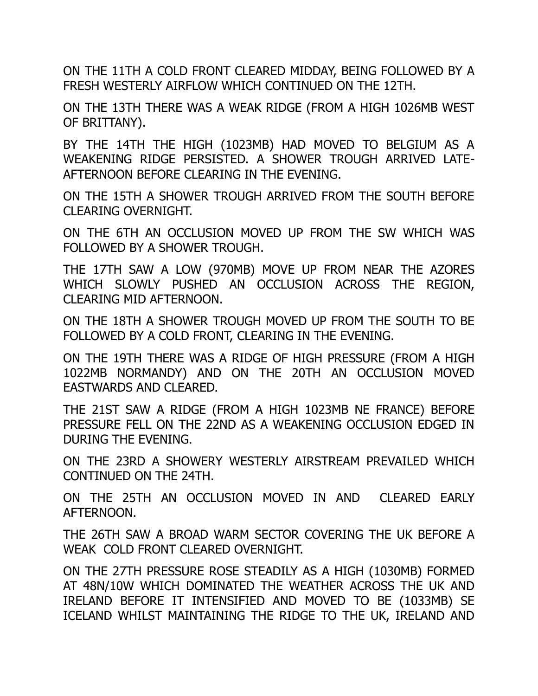ON THE 11TH A COLD FRONT CLEARED MIDDAY, BEING FOLLOWED BY A FRESH WESTERLY AIRFLOW WHICH CONTINUED ON THE 12TH.

ON THE 13TH THERE WAS A WEAK RIDGE (FROM A HIGH 1026MB WEST OF BRITTANY).

BY THE 14TH THE HIGH (1023MB) HAD MOVED TO BELGIUM AS A WEAKENING RIDGE PERSISTED. A SHOWER TROUGH ARRIVED LATE-AFTERNOON BEFORE CLEARING IN THE EVENING.

ON THE 15TH A SHOWER TROUGH ARRIVED FROM THE SOUTH BEFORE CLEARING OVERNIGHT.

ON THE 6TH AN OCCLUSION MOVED UP FROM THE SW WHICH WAS FOLLOWED BY A SHOWER TROUGH.

THE 17TH SAW A LOW (970MB) MOVE UP FROM NEAR THE AZORES WHICH SLOWLY PUSHED AN OCCLUSION ACROSS THE REGION, CLEARING MID AFTERNOON.

ON THE 18TH A SHOWER TROUGH MOVED UP FROM THE SOUTH TO BE FOLLOWED BY A COLD FRONT, CLEARING IN THE EVENING.

ON THE 19TH THERE WAS A RIDGE OF HIGH PRESSURE (FROM A HIGH 1022MB NORMANDY) AND ON THE 20TH AN OCCLUSION MOVED EASTWARDS AND CLEARED.

THE 21ST SAW A RIDGE (FROM A HIGH 1023MB NE FRANCE) BEFORE PRESSURE FELL ON THE 22ND AS A WEAKENING OCCLUSION EDGED IN DURING THE EVENING.

ON THE 23RD A SHOWERY WESTERLY AIRSTREAM PREVAILED WHICH CONTINUED ON THE 24TH.

ON THE 25TH AN OCCLUSION MOVED IN AND CLEARED EARLY AFTERNOON.

THE 26TH SAW A BROAD WARM SECTOR COVERING THE UK BEFORE A WEAK COLD FRONT CLEARED OVERNIGHT.

ON THE 27TH PRESSURE ROSE STEADILY AS A HIGH (1030MB) FORMED AT 48N/10W WHICH DOMINATED THE WEATHER ACROSS THE UK AND IRELAND BEFORE IT INTENSIFIED AND MOVED TO BE (1033MB) SE ICELAND WHILST MAINTAINING THE RIDGE TO THE UK, IRELAND AND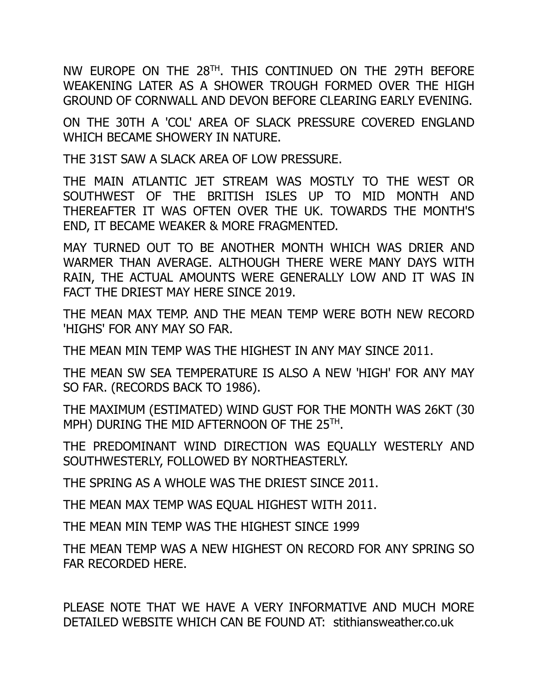NW EUROPE ON THE 28TH . THIS CONTINUED ON THE 29TH BEFORE WEAKENING LATER AS A SHOWER TROUGH FORMED OVER THE HIGH GROUND OF CORNWALL AND DEVON BEFORE CLEARING EARLY EVENING.

ON THE 30TH A 'COL' AREA OF SLACK PRESSURE COVERED ENGLAND WHICH BECAME SHOWERY IN NATURE.

THE 31ST SAW A SLACK AREA OF LOW PRESSURE.

THE MAIN ATLANTIC JET STREAM WAS MOSTLY TO THE WEST OR SOUTHWEST OF THE BRITISH ISLES UP TO MID MONTH AND THEREAFTER IT WAS OFTEN OVER THE UK. TOWARDS THE MONTH'S END, IT BECAME WEAKER & MORE FRAGMENTED.

MAY TURNED OUT TO BE ANOTHER MONTH WHICH WAS DRIER AND WARMER THAN AVERAGE. ALTHOUGH THERE WERE MANY DAYS WITH RAIN, THE ACTUAL AMOUNTS WERE GENERALLY LOW AND IT WAS IN FACT THE DRIEST MAY HERE SINCE 2019.

THE MEAN MAX TEMP. AND THE MEAN TEMP WERE BOTH NEW RECORD 'HIGHS' FOR ANY MAY SO FAR.

THE MEAN MIN TEMP WAS THE HIGHEST IN ANY MAY SINCE 2011.

THE MEAN SW SEA TEMPERATURE IS ALSO A NEW 'HIGH' FOR ANY MAY SO FAR. (RECORDS BACK TO 1986).

THE MAXIMUM (ESTIMATED) WIND GUST FOR THE MONTH WAS 26KT (30 MPH) DURING THE MID AFTERNOON OF THE 25TH.

THE PREDOMINANT WIND DIRECTION WAS EQUALLY WESTERLY AND SOUTHWESTERLY, FOLLOWED BY NORTHEASTERLY.

THE SPRING AS A WHOLE WAS THE DRIEST SINCE 2011.

THE MEAN MAX TEMP WAS EQUAL HIGHEST WITH 2011.

THE MEAN MIN TEMP WAS THE HIGHEST SINCE 1999

THE MEAN TEMP WAS A NEW HIGHEST ON RECORD FOR ANY SPRING SO FAR RECORDED HERE.

PLEASE NOTE THAT WE HAVE A VERY INFORMATIVE AND MUCH MORE DETAILED WEBSITE WHICH CAN BE FOUND AT: stithiansweather.co.uk